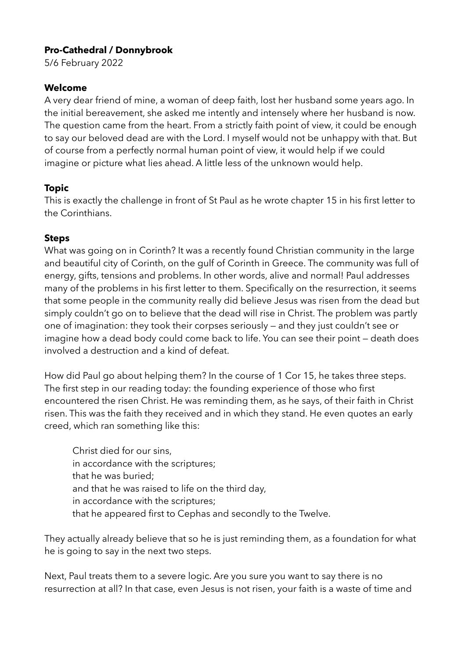# **Pro-Cathedral / Donnybrook**

5/6 February 2022

## **Welcome**

A very dear friend of mine, a woman of deep faith, lost her husband some years ago. In the initial bereavement, she asked me intently and intensely where her husband is now. The question came from the heart. From a strictly faith point of view, it could be enough to say our beloved dead are with the Lord. I myself would not be unhappy with that. But of course from a perfectly normal human point of view, it would help if we could imagine or picture what lies ahead. A little less of the unknown would help.

# **Topic**

This is exactly the challenge in front of St Paul as he wrote chapter 15 in his first letter to the Corinthians.

# **Steps**

What was going on in Corinth? It was a recently found Christian community in the large and beautiful city of Corinth, on the gulf of Corinth in Greece. The community was full of energy, gifts, tensions and problems. In other words, alive and normal! Paul addresses many of the problems in his first letter to them. Specifically on the resurrection, it seems that some people in the community really did believe Jesus was risen from the dead but simply couldn't go on to believe that the dead will rise in Christ. The problem was partly one of imagination: they took their corpses seriously — and they just couldn't see or imagine how a dead body could come back to life. You can see their point — death does involved a destruction and a kind of defeat.

How did Paul go about helping them? In the course of 1 Cor 15, he takes three steps. The first step in our reading today: the founding experience of those who first encountered the risen Christ. He was reminding them, as he says, of their faith in Christ risen. This was the faith they received and in which they stand. He even quotes an early creed, which ran something like this:

Christ died for our sins, in accordance with the scriptures; that he was buried; and that he was raised to life on the third day, in accordance with the scriptures; that he appeared first to Cephas and secondly to the Twelve.

They actually already believe that so he is just reminding them, as a foundation for what he is going to say in the next two steps.

Next, Paul treats them to a severe logic. Are you sure you want to say there is no resurrection at all? In that case, even Jesus is not risen, your faith is a waste of time and